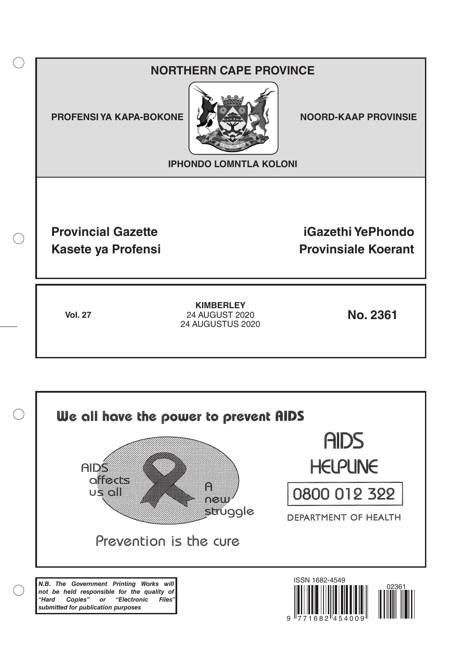## **NORTHERN CAPE PROVINCE**

**PROFENSI YA KAPA-BOKONE NOORD-KAAP PROVINSIE** 

 $($ )



**IPHONDO LOMNTLA KOLONI**

**Provincial Gazette iGazethi YePhondo Kasete ya Profensi Provinsiale Koerant** 

**Vol. 27 No. 2361** 24 AUGUST 2020 **KIMBERLEY** 24 AUGUSTUS 2020

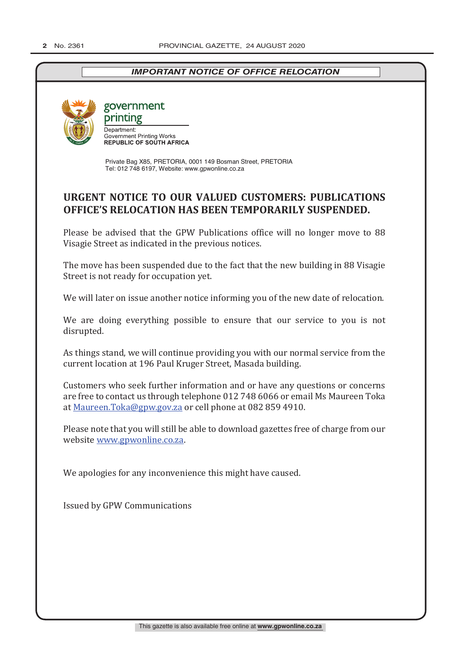## *IMPORTANT NOTICE OF OFFICE RELOCATION*



government

printing Department: **Government Printing Works<br>REPUBLIC OF SOUTH AFRICA** 

Private Bag X85, PRETORIA, 0001 149 Bosman Street, PRETORIA Tel: 012 748 6197, Website: www.gpwonline.co.za

## **URGENT NOTICE TO OUR VALUED CUSTOMERS: PUBLICATIONS OFFICE'S RELOCATION HAS BEEN TEMPORARILY SUSPENDED.**

Please be advised that the GPW Publications office will no longer move to 88 Visagie Street as indicated in the previous notices.

The move has been suspended due to the fact that the new building in 88 Visagie Street is not ready for occupation yet.

We will later on issue another notice informing you of the new date of relocation.

We are doing everything possible to ensure that our service to you is not disrupted.

As things stand, we will continue providing you with our normal service from the current location at 196 Paul Kruger Street, Masada building.

Customers who seek further information and or have any questions or concerns are free to contact us through telephone 012 748 6066 or email Ms Maureen Toka at Maureen.Toka@gpw.gov.za or cell phone at 082 859 4910.

Please note that you will still be able to download gazettes free of charge from our website www.gpwonline.co.za.

We apologies for any inconvenience this might have caused.

Issued by GPW Communications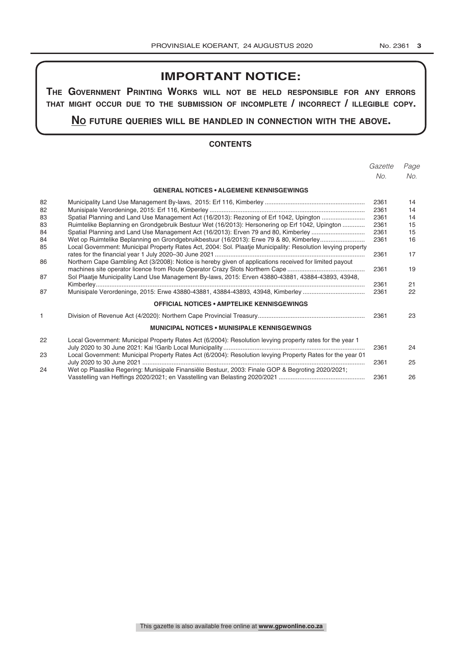## **IMPORTANT NOTICE:**

**The GovernmenT PrinTinG Works Will noT be held resPonsible for any errors ThaT miGhT occur due To The submission of incomPleTe / incorrecT / illeGible coPy.**

**no fuTure queries Will be handled in connecTion WiTh The above.**

#### **CONTENTS**

|    |                                                                                                              | Gazette | Page |
|----|--------------------------------------------------------------------------------------------------------------|---------|------|
|    |                                                                                                              | No.     | No.  |
|    | <b>GENERAL NOTICES • ALGEMENE KENNISGEWINGS</b>                                                              |         |      |
| 82 |                                                                                                              | 2361    | 14   |
| 82 |                                                                                                              | 2361    | 14   |
| 83 | Spatial Planning and Land Use Management Act (16/2013): Rezoning of Erf 1042, Upington                       | 2361    | 14   |
| 83 | Ruimtelike Beplanning en Grondgebruik Bestuur Wet (16/2013): Hersonering op Erf 1042, Upington               | 2361    | 15   |
| 84 | Spatial Planning and Land Use Management Act (16/2013): Erven 79 and 80, Kimberley                           | 2361    | 15   |
| 84 | Wet op Ruimtelike Beplanning en Grondgebruikbestuur (16/2013): Erwe 79 & 80, Kimberley                       | 2361    | 16   |
| 85 | Local Government: Municipal Property Rates Act, 2004: Sol. Plaatje Municipality: Resolution levying property | 2361    | 17   |
| 86 | Northern Cape Gambling Act (3/2008): Notice is hereby given of applications received for limited payout      | 2361    | 19   |
| 87 | Sol Plaatje Municipality Land Use Management By-laws, 2015: Erven 43880-43881, 43884-43893, 43948,           | 2361    | 21   |
| 87 | Munisipale Verordeninge, 2015: Erwe 43880-43881, 43884-43893, 43948, Kimberley                               | 2361    | 22   |
|    | <b>OFFICIAL NOTICES • AMPTELIKE KENNISGEWINGS</b>                                                            |         |      |
| 1  |                                                                                                              | 2361    | 23   |
|    | <b>MUNICIPAL NOTICES • MUNISIPALE KENNISGEWINGS</b>                                                          |         |      |
| 22 | Local Government: Municipal Property Rates Act (6/2004): Resolution levying property rates for the year 1    | 2361    | 24   |
| 23 | Local Government: Municipal Property Rates Act (6/2004): Resolution levying Property Rates for the year 01   | 2361    | 25   |
| 24 | Wet op Plaaslike Regering: Munisipale Finansiële Bestuur, 2003: Finale GOP & Begroting 2020/2021;            |         |      |
|    |                                                                                                              | 2361    | 26   |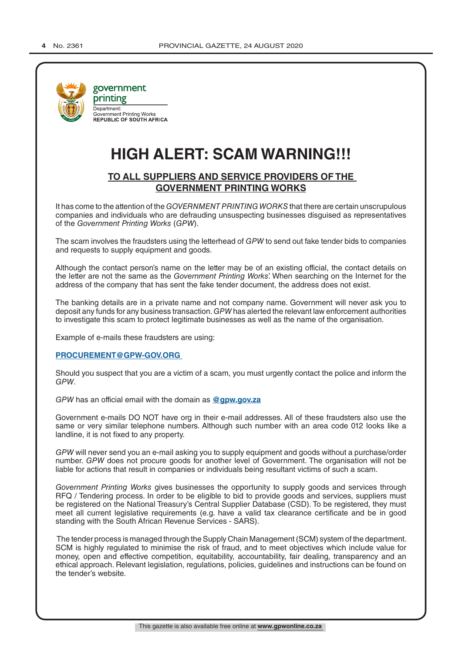

# **HIGH ALERT: SCAM WARNING!!!**

### **TO ALL SUPPLIERS AND SERVICE PROVIDERS OF THE GOVERNMENT PRINTING WORKS**

It has come to the attention of the *GOVERNMENT PRINTING WORKS* that there are certain unscrupulous companies and individuals who are defrauding unsuspecting businesses disguised as representatives of the *Government Printing Works* (*GPW*).

The scam involves the fraudsters using the letterhead of *GPW* to send out fake tender bids to companies and requests to supply equipment and goods.

Although the contact person's name on the letter may be of an existing official, the contact details on the letter are not the same as the *Government Printing Works*'. When searching on the Internet for the address of the company that has sent the fake tender document, the address does not exist.

The banking details are in a private name and not company name. Government will never ask you to deposit any funds for any business transaction. *GPW* has alerted the relevant law enforcement authorities to investigate this scam to protect legitimate businesses as well as the name of the organisation.

Example of e-mails these fraudsters are using:

#### **PROCUREMENT@GPW-GOV.ORG**

Should you suspect that you are a victim of a scam, you must urgently contact the police and inform the *GPW*.

*GPW* has an official email with the domain as **@gpw.gov.za**

Government e-mails DO NOT have org in their e-mail addresses. All of these fraudsters also use the same or very similar telephone numbers. Although such number with an area code 012 looks like a landline, it is not fixed to any property.

*GPW* will never send you an e-mail asking you to supply equipment and goods without a purchase/order number. *GPW* does not procure goods for another level of Government. The organisation will not be liable for actions that result in companies or individuals being resultant victims of such a scam.

*Government Printing Works* gives businesses the opportunity to supply goods and services through RFQ / Tendering process. In order to be eligible to bid to provide goods and services, suppliers must be registered on the National Treasury's Central Supplier Database (CSD). To be registered, they must meet all current legislative requirements (e.g. have a valid tax clearance certificate and be in good standing with the South African Revenue Services - SARS).

 The tender process is managed through the Supply Chain Management (SCM) system of the department. SCM is highly regulated to minimise the risk of fraud, and to meet objectives which include value for money, open and effective competition, equitability, accountability, fair dealing, transparency and an ethical approach. Relevant legislation, regulations, policies, guidelines and instructions can be found on the tender's website.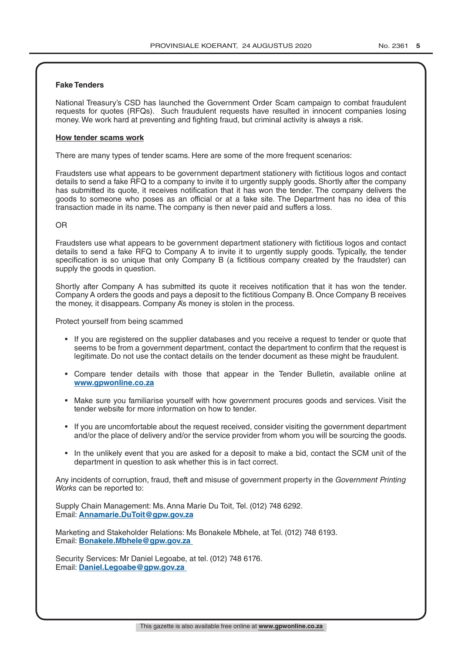#### **Fake Tenders**

National Treasury's CSD has launched the Government Order Scam campaign to combat fraudulent requests for quotes (RFQs). Such fraudulent requests have resulted in innocent companies losing money. We work hard at preventing and fighting fraud, but criminal activity is always a risk.

#### **How tender scams work**

There are many types of tender scams. Here are some of the more frequent scenarios:

Fraudsters use what appears to be government department stationery with fictitious logos and contact details to send a fake RFQ to a company to invite it to urgently supply goods. Shortly after the company has submitted its quote, it receives notification that it has won the tender. The company delivers the goods to someone who poses as an official or at a fake site. The Department has no idea of this transaction made in its name. The company is then never paid and suffers a loss.

#### OR

Fraudsters use what appears to be government department stationery with fictitious logos and contact details to send a fake RFQ to Company A to invite it to urgently supply goods. Typically, the tender specification is so unique that only Company B (a fictitious company created by the fraudster) can supply the goods in question.

Shortly after Company A has submitted its quote it receives notification that it has won the tender. Company A orders the goods and pays a deposit to the fictitious Company B. Once Company B receives the money, it disappears. Company A's money is stolen in the process.

Protect yourself from being scammed

- If you are registered on the supplier databases and you receive a request to tender or quote that seems to be from a government department, contact the department to confirm that the request is legitimate. Do not use the contact details on the tender document as these might be fraudulent.
- Compare tender details with those that appear in the Tender Bulletin, available online at **www.gpwonline.co.za**
- Make sure you familiarise yourself with how government procures goods and services. Visit the tender website for more information on how to tender.
- If you are uncomfortable about the request received, consider visiting the government department and/or the place of delivery and/or the service provider from whom you will be sourcing the goods.
- In the unlikely event that you are asked for a deposit to make a bid, contact the SCM unit of the department in question to ask whether this is in fact correct.

Any incidents of corruption, fraud, theft and misuse of government property in the *Government Printing Works* can be reported to:

Supply Chain Management: Ms. Anna Marie Du Toit, Tel. (012) 748 6292. Email: **Annamarie.DuToit@gpw.gov.za**

Marketing and Stakeholder Relations: Ms Bonakele Mbhele, at Tel. (012) 748 6193. Email: **Bonakele.Mbhele@gpw.gov.za** 

Security Services: Mr Daniel Legoabe, at tel. (012) 748 6176. Email: **Daniel.Legoabe@gpw.gov.za**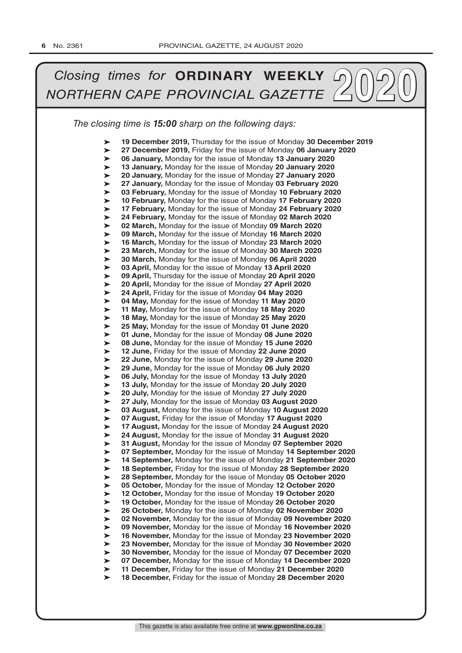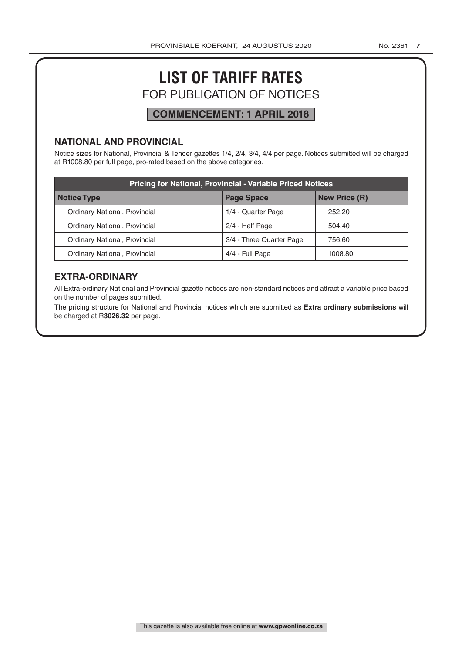# **LIST OF TARIFF RATES** FOR PUBLICATION OF NOTICES

## **COMMENCEMENT: 1 APRIL 2018**

### **NATIONAL AND PROVINCIAL**

Notice sizes for National, Provincial & Tender gazettes 1/4, 2/4, 3/4, 4/4 per page. Notices submitted will be charged at R1008.80 per full page, pro-rated based on the above categories.

| <b>Pricing for National, Provincial - Variable Priced Notices</b> |                          |                      |  |
|-------------------------------------------------------------------|--------------------------|----------------------|--|
| Notice Type                                                       | <b>Page Space</b>        | <b>New Price (R)</b> |  |
| Ordinary National, Provincial                                     | 1/4 - Quarter Page       | 252.20               |  |
| Ordinary National, Provincial                                     | 2/4 - Half Page          | 504.40               |  |
| Ordinary National, Provincial                                     | 3/4 - Three Quarter Page | 756.60               |  |
| Ordinary National, Provincial                                     | 4/4 - Full Page          | 1008.80              |  |

### **EXTRA-ORDINARY**

All Extra-ordinary National and Provincial gazette notices are non-standard notices and attract a variable price based on the number of pages submitted.

The pricing structure for National and Provincial notices which are submitted as **Extra ordinary submissions** will be charged at R**3026.32** per page.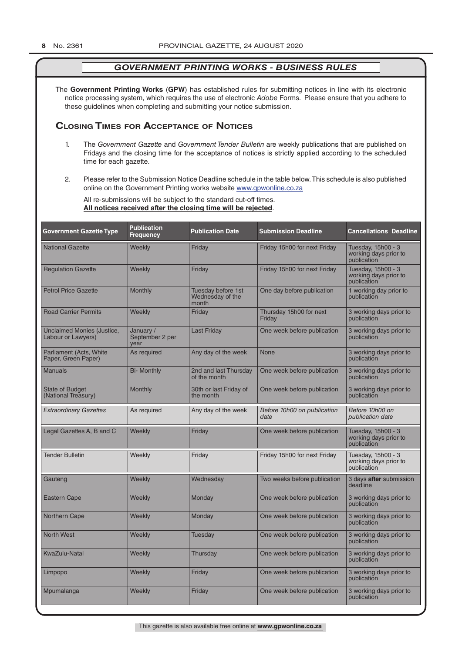The **Government Printing Works** (**GPW**) has established rules for submitting notices in line with its electronic notice processing system, which requires the use of electronic *Adobe* Forms. Please ensure that you adhere to these guidelines when completing and submitting your notice submission.

#### **Closing Times for ACCepTAnCe of noTiCes**

- 1. The *Government Gazette* and *Government Tender Bulletin* are weekly publications that are published on Fridays and the closing time for the acceptance of notices is strictly applied according to the scheduled time for each gazette.
- 2. Please refer to the Submission Notice Deadline schedule in the table below. This schedule is also published online on the Government Printing works website www.gpwonline.co.za

All re-submissions will be subject to the standard cut-off times. **All notices received after the closing time will be rejected**.

| <b>Government Gazette Type</b>                   | <b>Publication</b><br><b>Frequency</b> | <b>Publication Date</b>                         | <b>Submission Deadline</b>          | <b>Cancellations Deadline</b>                              |
|--------------------------------------------------|----------------------------------------|-------------------------------------------------|-------------------------------------|------------------------------------------------------------|
| <b>National Gazette</b>                          | Weekly                                 | Friday                                          | Friday 15h00 for next Friday        | Tuesday, 15h00 - 3<br>working days prior to<br>publication |
| <b>Regulation Gazette</b>                        | Weekly                                 | Friday                                          | Friday 15h00 for next Friday        | Tuesday, 15h00 - 3<br>working days prior to<br>publication |
| <b>Petrol Price Gazette</b>                      | Monthly                                | Tuesday before 1st<br>Wednesday of the<br>month | One day before publication          | 1 working day prior to<br>publication                      |
| <b>Road Carrier Permits</b>                      | Weekly                                 | Friday                                          | Thursday 15h00 for next<br>Friday   | 3 working days prior to<br>publication                     |
| Unclaimed Monies (Justice,<br>Labour or Lawyers) | January /<br>September 2 per<br>vear   | <b>Last Friday</b>                              | One week before publication         | 3 working days prior to<br>publication                     |
| Parliament (Acts, White<br>Paper, Green Paper)   | As required                            | Any day of the week                             | None                                | 3 working days prior to<br>publication                     |
| <b>Manuals</b>                                   | <b>Bi- Monthly</b>                     | 2nd and last Thursday<br>of the month           | One week before publication         | 3 working days prior to<br>publication                     |
| <b>State of Budget</b><br>(National Treasury)    | Monthly                                | 30th or last Friday of<br>the month             | One week before publication         | 3 working days prior to<br>publication                     |
| <b>Extraordinary Gazettes</b>                    | As required                            | Any day of the week                             | Before 10h00 on publication<br>date | Before 10h00 on<br>publication date                        |
| Legal Gazettes A, B and C                        | Weekly                                 | Friday                                          | One week before publication         | Tuesday, 15h00 - 3<br>working days prior to<br>publication |
| <b>Tender Bulletin</b>                           | Weekly                                 | Friday                                          | Friday 15h00 for next Friday        | Tuesday, 15h00 - 3<br>working days prior to<br>publication |
| Gauteng                                          | Weekly                                 | Wednesday                                       | Two weeks before publication        | 3 days after submission<br>deadline                        |
| <b>Eastern Cape</b>                              | Weekly                                 | Monday                                          | One week before publication         | 3 working days prior to<br>publication                     |
| Northern Cape                                    | Weekly                                 | Monday                                          | One week before publication         | 3 working days prior to<br>publication                     |
| <b>North West</b>                                | Weekly                                 | <b>Tuesday</b>                                  | One week before publication         | 3 working days prior to<br>publication                     |
| <b>KwaZulu-Natal</b>                             | Weekly                                 | Thursday                                        | One week before publication         | 3 working days prior to<br>publication                     |
| Limpopo                                          | Weekly                                 | Friday                                          | One week before publication         | 3 working days prior to<br>publication                     |
| Mpumalanga                                       | Weekly                                 | Friday                                          | One week before publication         | 3 working days prior to<br>publication                     |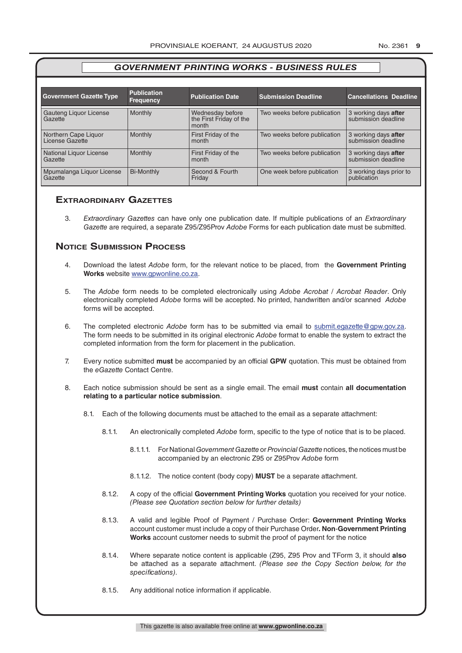| <b>Government Gazette Type</b>          | <b>Publication</b><br><b>Frequency</b> | <b>Publication Date</b>                              | <b>Submission Deadline</b>   | <b>Cancellations Deadline</b>               |
|-----------------------------------------|----------------------------------------|------------------------------------------------------|------------------------------|---------------------------------------------|
| Gauteng Liquor License<br>Gazette       | <b>Monthly</b>                         | Wednesday before<br>the First Friday of the<br>month | Two weeks before publication | 3 working days after<br>submission deadline |
| Northern Cape Liquor<br>License Gazette | Monthly                                | First Friday of the<br>month                         | Two weeks before publication | 3 working days after<br>submission deadline |
| National Liquor License<br>Gazette      | Monthly                                | First Friday of the<br>month                         | Two weeks before publication | 3 working days after<br>submission deadline |
| Mpumalanga Liquor License<br>Gazette    | <b>Bi-Monthly</b>                      | Second & Fourth<br>Friday                            | One week before publication  | 3 working days prior to<br>publication      |

#### **exTrAordinAry gAzeTTes**

3. *Extraordinary Gazettes* can have only one publication date. If multiple publications of an *Extraordinary Gazette* are required, a separate Z95/Z95Prov *Adobe* Forms for each publication date must be submitted.

#### **NOTICE SUBMISSION PROCESS**

- 4. Download the latest *Adobe* form, for the relevant notice to be placed, from the **Government Printing Works** website www.gpwonline.co.za.
- 5. The *Adobe* form needs to be completed electronically using *Adobe Acrobat* / *Acrobat Reader*. Only electronically completed *Adobe* forms will be accepted. No printed, handwritten and/or scanned *Adobe* forms will be accepted.
- 6. The completed electronic *Adobe* form has to be submitted via email to submit.egazette@gpw.gov.za. The form needs to be submitted in its original electronic *Adobe* format to enable the system to extract the completed information from the form for placement in the publication.
- 7. Every notice submitted **must** be accompanied by an official **GPW** quotation. This must be obtained from the *eGazette* Contact Centre.
- 8. Each notice submission should be sent as a single email. The email **must** contain **all documentation relating to a particular notice submission**.
	- 8.1. Each of the following documents must be attached to the email as a separate attachment:
		- 8.1.1. An electronically completed *Adobe* form, specific to the type of notice that is to be placed.
			- 8.1.1.1. For National *Government Gazette* or *Provincial Gazette* notices, the notices must be accompanied by an electronic Z95 or Z95Prov *Adobe* form
			- 8.1.1.2. The notice content (body copy) **MUST** be a separate attachment.
		- 8.1.2. A copy of the official **Government Printing Works** quotation you received for your notice. *(Please see Quotation section below for further details)*
		- 8.1.3. A valid and legible Proof of Payment / Purchase Order: **Government Printing Works** account customer must include a copy of their Purchase Order*.* **Non**-**Government Printing Works** account customer needs to submit the proof of payment for the notice
		- 8.1.4. Where separate notice content is applicable (Z95, Z95 Prov and TForm 3, it should **also** be attached as a separate attachment. *(Please see the Copy Section below, for the specifications)*.
		- 8.1.5. Any additional notice information if applicable.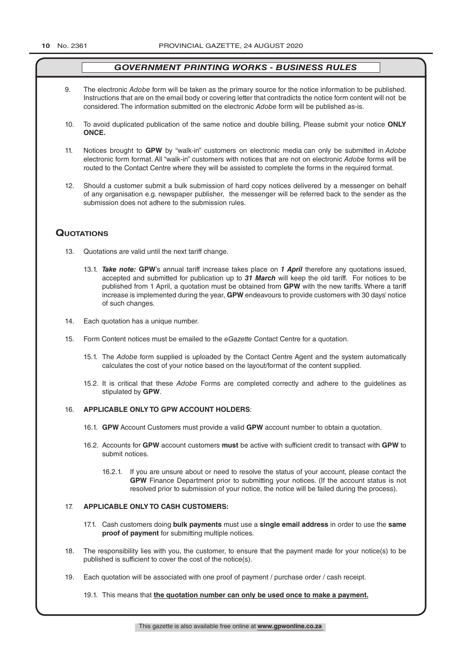- 9. The electronic *Adobe* form will be taken as the primary source for the notice information to be published. Instructions that are on the email body or covering letter that contradicts the notice form content will not be considered. The information submitted on the electronic *Adobe* form will be published as-is.
- 10. To avoid duplicated publication of the same notice and double billing, Please submit your notice **ONLY ONCE.**
- 11. Notices brought to **GPW** by "walk-in" customers on electronic media can only be submitted in *Adobe* electronic form format. All "walk-in" customers with notices that are not on electronic *Adobe* forms will be routed to the Contact Centre where they will be assisted to complete the forms in the required format.
- 12. Should a customer submit a bulk submission of hard copy notices delivered by a messenger on behalf of any organisation e.g. newspaper publisher, the messenger will be referred back to the sender as the submission does not adhere to the submission rules.

#### **QuoTATions**

- 13. Quotations are valid until the next tariff change.
	- 13.1. *Take note:* **GPW**'s annual tariff increase takes place on *1 April* therefore any quotations issued, accepted and submitted for publication up to *31 March* will keep the old tariff. For notices to be published from 1 April, a quotation must be obtained from **GPW** with the new tariffs. Where a tariff increase is implemented during the year, **GPW** endeavours to provide customers with 30 days' notice of such changes.
- 14. Each quotation has a unique number.
- 15. Form Content notices must be emailed to the *eGazette* Contact Centre for a quotation.
	- 15.1. The *Adobe* form supplied is uploaded by the Contact Centre Agent and the system automatically calculates the cost of your notice based on the layout/format of the content supplied.
	- 15.2. It is critical that these *Adobe* Forms are completed correctly and adhere to the guidelines as stipulated by **GPW**.

#### 16. **APPLICABLE ONLY TO GPW ACCOUNT HOLDERS**:

- 16.1. **GPW** Account Customers must provide a valid **GPW** account number to obtain a quotation.
- 16.2. Accounts for **GPW** account customers **must** be active with sufficient credit to transact with **GPW** to submit notices.
	- 16.2.1. If you are unsure about or need to resolve the status of your account, please contact the **GPW** Finance Department prior to submitting your notices. (If the account status is not resolved prior to submission of your notice, the notice will be failed during the process).

#### 17. **APPLICABLE ONLY TO CASH CUSTOMERS:**

- 17.1. Cash customers doing **bulk payments** must use a **single email address** in order to use the **same proof of payment** for submitting multiple notices.
- 18. The responsibility lies with you, the customer, to ensure that the payment made for your notice(s) to be published is sufficient to cover the cost of the notice(s).
- 19. Each quotation will be associated with one proof of payment / purchase order / cash receipt.

19.1. This means that **the quotation number can only be used once to make a payment.**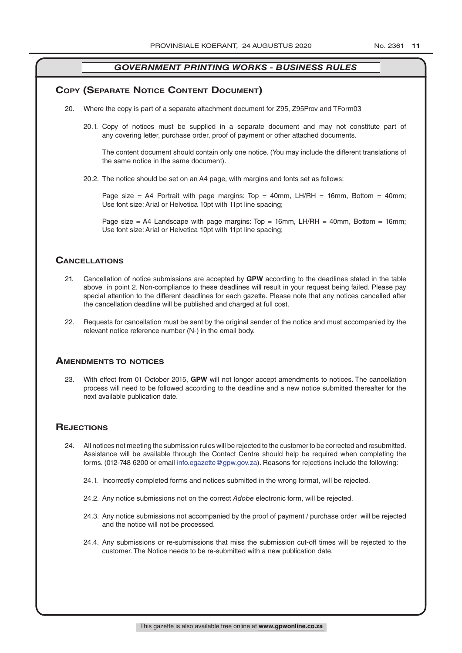#### **COPY (SEPARATE NOTICE CONTENT DOCUMENT)**

- 20. Where the copy is part of a separate attachment document for Z95, Z95Prov and TForm03
	- 20.1. Copy of notices must be supplied in a separate document and may not constitute part of any covering letter, purchase order, proof of payment or other attached documents.

The content document should contain only one notice. (You may include the different translations of the same notice in the same document).

20.2. The notice should be set on an A4 page, with margins and fonts set as follows:

Page size = A4 Portrait with page margins: Top = 40mm, LH/RH = 16mm, Bottom = 40mm; Use font size: Arial or Helvetica 10pt with 11pt line spacing;

Page size = A4 Landscape with page margins: Top = 16mm, LH/RH = 40mm, Bottom = 16mm; Use font size: Arial or Helvetica 10pt with 11pt line spacing;

#### **CAnCellATions**

- 21. Cancellation of notice submissions are accepted by **GPW** according to the deadlines stated in the table above in point 2. Non-compliance to these deadlines will result in your request being failed. Please pay special attention to the different deadlines for each gazette. Please note that any notices cancelled after the cancellation deadline will be published and charged at full cost.
- 22. Requests for cancellation must be sent by the original sender of the notice and must accompanied by the relevant notice reference number (N-) in the email body.

#### **AmendmenTs To noTiCes**

23. With effect from 01 October 2015, **GPW** will not longer accept amendments to notices. The cancellation process will need to be followed according to the deadline and a new notice submitted thereafter for the next available publication date.

#### **REJECTIONS**

- 24. All notices not meeting the submission rules will be rejected to the customer to be corrected and resubmitted. Assistance will be available through the Contact Centre should help be required when completing the forms. (012-748 6200 or email info.egazette@gpw.gov.za). Reasons for rejections include the following:
	- 24.1. Incorrectly completed forms and notices submitted in the wrong format, will be rejected.
	- 24.2. Any notice submissions not on the correct *Adobe* electronic form, will be rejected.
	- 24.3. Any notice submissions not accompanied by the proof of payment / purchase order will be rejected and the notice will not be processed.
	- 24.4. Any submissions or re-submissions that miss the submission cut-off times will be rejected to the customer. The Notice needs to be re-submitted with a new publication date.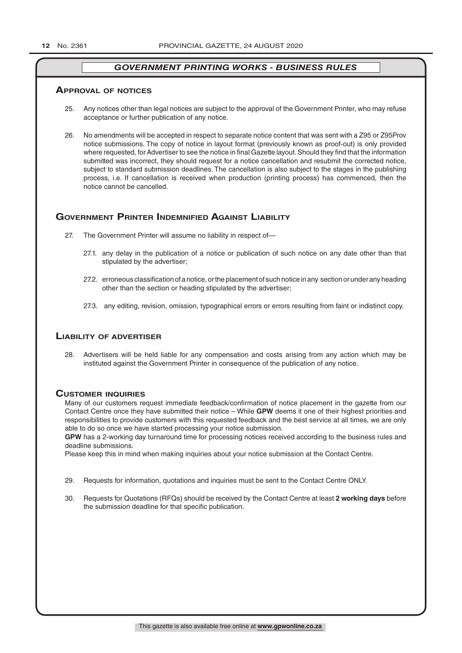#### **ApprovAl of noTiCes**

- 25. Any notices other than legal notices are subject to the approval of the Government Printer, who may refuse acceptance or further publication of any notice.
- 26. No amendments will be accepted in respect to separate notice content that was sent with a Z95 or Z95Prov notice submissions. The copy of notice in layout format (previously known as proof-out) is only provided where requested, for Advertiser to see the notice in final Gazette layout. Should they find that the information submitted was incorrect, they should request for a notice cancellation and resubmit the corrected notice, subject to standard submission deadlines. The cancellation is also subject to the stages in the publishing process, i.e. If cancellation is received when production (printing process) has commenced, then the notice cannot be cancelled.

#### **GOVERNMENT PRINTER INDEMNIFIED AGAINST LIABILITY**

- 27. The Government Printer will assume no liability in respect of—
	- 27.1. any delay in the publication of a notice or publication of such notice on any date other than that stipulated by the advertiser;
	- 27.2. erroneous classification of a notice, or the placement of such notice in any section or under any heading other than the section or heading stipulated by the advertiser;
	- 27.3. any editing, revision, omission, typographical errors or errors resulting from faint or indistinct copy.

#### **liAbiliTy of AdverTiser**

28. Advertisers will be held liable for any compensation and costs arising from any action which may be instituted against the Government Printer in consequence of the publication of any notice.

#### **CusTomer inQuiries**

Many of our customers request immediate feedback/confirmation of notice placement in the gazette from our Contact Centre once they have submitted their notice – While **GPW** deems it one of their highest priorities and responsibilities to provide customers with this requested feedback and the best service at all times, we are only able to do so once we have started processing your notice submission.

**GPW** has a 2-working day turnaround time for processing notices received according to the business rules and deadline submissions.

Please keep this in mind when making inquiries about your notice submission at the Contact Centre.

- 29. Requests for information, quotations and inquiries must be sent to the Contact Centre ONLY.
- 30. Requests for Quotations (RFQs) should be received by the Contact Centre at least **2 working days** before the submission deadline for that specific publication.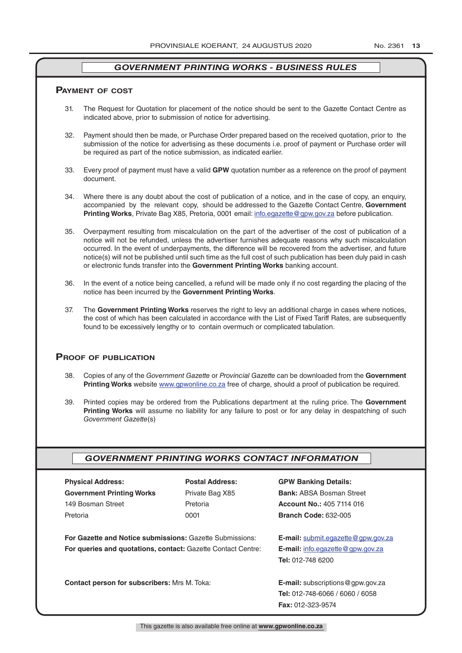#### **pAymenT of CosT**

- 31. The Request for Quotation for placement of the notice should be sent to the Gazette Contact Centre as indicated above, prior to submission of notice for advertising.
- 32. Payment should then be made, or Purchase Order prepared based on the received quotation, prior to the submission of the notice for advertising as these documents i.e. proof of payment or Purchase order will be required as part of the notice submission, as indicated earlier.
- 33. Every proof of payment must have a valid **GPW** quotation number as a reference on the proof of payment document.
- 34. Where there is any doubt about the cost of publication of a notice, and in the case of copy, an enquiry, accompanied by the relevant copy, should be addressed to the Gazette Contact Centre, **Government Printing Works**, Private Bag X85, Pretoria, 0001 email: info.egazette@gpw.gov.za before publication.
- 35. Overpayment resulting from miscalculation on the part of the advertiser of the cost of publication of a notice will not be refunded, unless the advertiser furnishes adequate reasons why such miscalculation occurred. In the event of underpayments, the difference will be recovered from the advertiser, and future notice(s) will not be published until such time as the full cost of such publication has been duly paid in cash or electronic funds transfer into the **Government Printing Works** banking account.
- 36. In the event of a notice being cancelled, a refund will be made only if no cost regarding the placing of the notice has been incurred by the **Government Printing Works**.
- 37. The **Government Printing Works** reserves the right to levy an additional charge in cases where notices, the cost of which has been calculated in accordance with the List of Fixed Tariff Rates, are subsequently found to be excessively lengthy or to contain overmuch or complicated tabulation.

#### **proof of publiCATion**

- 38. Copies of any of the *Government Gazette* or *Provincial Gazette* can be downloaded from the **Government Printing Works** website www.gpwonline.co.za free of charge, should a proof of publication be required.
- 39. Printed copies may be ordered from the Publications department at the ruling price. The **Government Printing Works** will assume no liability for any failure to post or for any delay in despatching of such *Government Gazette*(s)

#### *GOVERNMENT PRINTING WORKS CONTACT INFORMATION*

| <b>Physical Address:</b>                                                                              | <b>Postal Address:</b> | <b>GPW Banking Details:</b>                 |
|-------------------------------------------------------------------------------------------------------|------------------------|---------------------------------------------|
| <b>Government Printing Works</b>                                                                      | Private Bag X85        | <b>Bank: ABSA Bosman Street</b>             |
| 149 Bosman Street                                                                                     | Pretoria               | <b>Account No.: 405 7114 016</b>            |
| Pretoria                                                                                              | 0001                   | <b>Branch Code: 632-005</b>                 |
| For Gazette and Notice submissions: Gazette Submissions:<br><b>E-mail:</b> submit.eqazette@gpw.gov.za |                        |                                             |
| <b>For queries and quotations, contact: Gazette Contact Centre:</b>                                   |                        | <b>E-mail:</b> info.egazette@gpw.gov.za     |
|                                                                                                       |                        | <b>Tel: 012-748 6200</b>                    |
| Contact person for subscribers: Mrs M. Toka:                                                          |                        | <b>E-mail:</b> subscriptions $@$ gpw.gov.za |
|                                                                                                       |                        | <b>Tel:</b> 012-748-6066 / 6060 / 6058      |
|                                                                                                       |                        | <b>Fax: 012-323-9574</b>                    |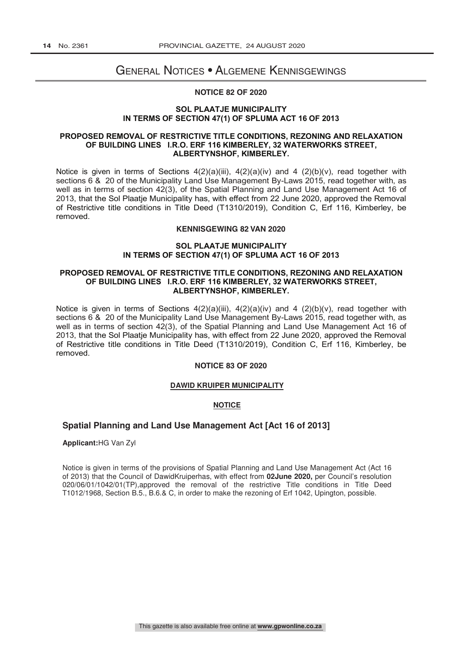## General Notices • Algemene Kennisgewings

#### **NOTICE 82 OF 2020**

#### **SOL PLAATJE MUNICIPALITY IN TERMS OF SECTION 47(1) OF SPLUMA ACT 16 OF 2013**

#### **PROPOSED REMOVAL OF RESTRICTIVE TITLE CONDITIONS, REZONING AND RELAXATION OF BUILDING LINES I.R.O. ERF 116 KIMBERLEY, 32 WATERWORKS STREET, ALBERTYNSHOF, KIMBERLEY.**

Notice is given in terms of Sections  $4(2)(a)(iii)$ ,  $4(2)(a)(iv)$  and  $4(2)(b)(v)$ , read together with sections 6 & 20 of the Municipality Land Use Management By-Laws 2015, read together with, as well as in terms of section 42(3), of the Spatial Planning and Land Use Management Act 16 of 2013, that the Sol Plaatje Municipality has, with effect from 22 June 2020, approved the Removal of Restrictive title conditions in Title Deed (T1310/2019), Condition C, Erf 116, Kimberley, be removed.

#### **KENNISGEWING 82 VAN 2020**

#### **SOL PLAATJE MUNISIPALITEIT SOL PLAATJE MUNICIPALITY IN TERMS OF SECTION 47(1) OF SPLUMA ACT 16 OF 2013 VAN BOULYNE T.O.V. ERF 116, 32 WATERWERKE STRAAT, ALBERTYNSHOF, KIMBERLEY.**

#### OF BUILDING LINES I.R.O. ERF 116 KIMBERLEY, 32 WATERWORKS STREET, saamgelees met Artikel 6 en 20 van die Munisipale Verordeninge 2015, saamgelees met, sowel **ALBERTYNSHOF, KIMBERLEY.**  $\alpha$  in terms van Artikel 42, van die Munisipale Ruimtelike Beplanning en Grondgebruikse Beplanning en Grondgebruikse Beplanning en Grondgebruikse Beplanning en Grondgebruikse Beplanning en Grondgebruikse Beplanning en Gr **PROPOSED REMOVAL OF RESTRICTIVE TITLE CONDITIONS, REZONING AND RELAXATION**

Notice is given in terms of Sections  $4(2)(a)(iii)$ ,  $4(2)(a)(iv)$  and  $4(2)(b)(v)$ , read together with June 2020, die Opheffing van Beperkende Titel voorwaardes soos uiteengesit in Titelakte sections 6 & 20 of the Municipality Land Use Management By-Laws 2015, read together with, as well as in terms of section 42(3), of the Spatial Planning and Land Use Management Act 16 of 2013, that the Sol Plaatje Municipality has, with effect from 22 June 2020, approved the Removal of Restrictive title conditions in Title Deed (T1310/2019), Condition C, Erf 116, Kimberley, be removed.

#### **NOTICE 83 OF 2020**

#### **SOL PLAATJE MUNISIPALITEIT DAWID KRUIPER MUNICIPALITY**

#### **VAN BOULYNE T.O.V. ERF 116, 32 WATERWERKE STRAAT, ALBERTYNSHOF, KIMBERLEY. NOTICE**

#### Spatial Planning and Land Use Management Act [Act 16 of 2013] as in terme van Artikel 42(3), van die Munisipale Ruimtelike Beplanning en Grondgebruiks

**Applicant:**HG Van Zyl **Bekend gemaak dat die Sol Plaatje Munisipaliteit, in effek sedert 22 minusipaliteit, in effek sedert 22 minusipaliteit, in effek sedert 22 minusipaliteit, in effek sedert 22 minusipaliteit, in effec** 

(T1310/2019), Voorwaarde C, Erf 116, Kimberley, opgehef word. Notice is given in terms of the provisions of Spatial Planning and Land Use Management Act (Act 16 of 2013) that the Council of DawidKruiperhas, with effect from **02June 2020,** per Council's resolution 020/06/01/1042/01(TP),approved the removal of the restrictive Title conditions in Title Deed T1012/1968, Section B.5., B.6.& C, in order to make the rezoning of Erf 1042, Upington, possible.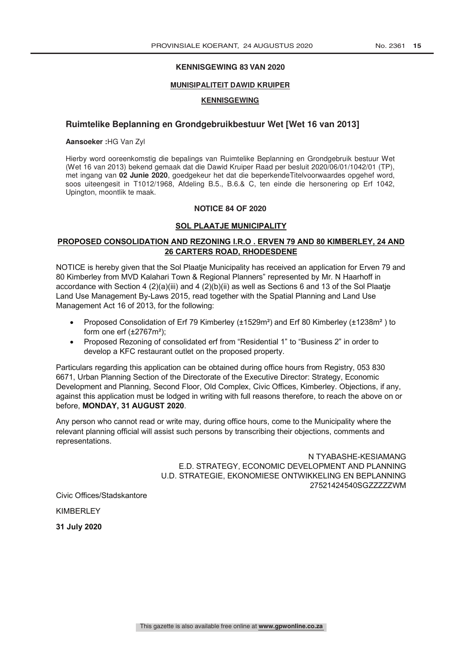#### **KENNISGEWING 83 VAN 2020**

T1012/1968, Section B.5., B.6.& C, in order to make the rezoning of Erf 1042, Upington, possible.

#### **MUNISIPALITEIT DAWID KRUIPER**

#### **KENNISGEWING**

#### **Ruimtelike Beplanning en Grondgebruikbestuur Wet [Wet 16 van 2013]**

**Aansoeker :**HG Van Zyl

Hierby word ooreenkomstig die bepalings van Ruimtelike Beplanning en Grondgebruik bestuur Wet (Wet 16 van 2013) bekend gemaak dat die Dawid Kruiper Raad per besluit 2020/06/01/1042/01 (TP), met ingang van **02 Junie 2020**, goedgekeur het dat die beperkendeTitelvoorwaardes opgehef word, soos uiteengesit in T1012/1968, Afdeling B.5., B.6.& C, ten einde die hersonering op Erf 1042, Upington, moontlik te maak.

#### **NOTICE 84 OF 2020**

#### **SOL PLAATJE MUNICIPALITY**

#### **PROPOSED CONSOLIDATION AND REZONING I.R.O . ERVEN 79 AND 80 KIMBERLEY, 24 AND 26 CARTERS ROAD, RHODESDENE**

NOTICE is hereby given that the Sol Plaatje Municipality has received an application for Erven 79 and 80 Kimberley from MVD Kalahari Town & Regional Planners" represented by Mr. N Haarhoff in accordance with Section 4 (2)(a)(iii) and 4 (2)(b)(ii) as well as Sections 6 and 13 of the Sol Plaatje Land Use Management By-Laws 2015, read together with the Spatial Planning and Land Use Management Act 16 of 2013, for the following:

- Proposed Consolidation of Erf 79 Kimberley (±1529m²) and Erf 80 Kimberley (±1238m² ) to form one erf  $(\pm 2767m^2)$ ;
- Proposed Rezoning of consolidated erf from "Residential 1" to "Business 2" in order to develop a KFC restaurant outlet on the proposed property.

Particulars regarding this application can be obtained during office hours from Registry, 053 830 6671, Urban Planning Section of the Directorate of the Executive Director: Strategy, Economic Development and Planning, Second Floor, Old Complex, Civic Offices, Kimberley. Objections, if any, against this application must be lodged in writing with full reasons therefore, to reach the above on or before, **MONDAY, 31 AUGUST 2020**.

Any person who cannot read or write may, during office hours, come to the Municipality where the relevant planning official will assist such persons by transcribing their objections, comments and representations.

> N TYABASHE-KESIAMANG E.D. STRATEGY, ECONOMIC DEVELOPMENT AND PLANNING U.D. STRATEGIE, EKONOMIESE ONTWIKKELING EN BEPLANNING 27521424540SGZZZZZWM

Civic Offices/Stadskantore

KIMBERLEY

**31 July 2020**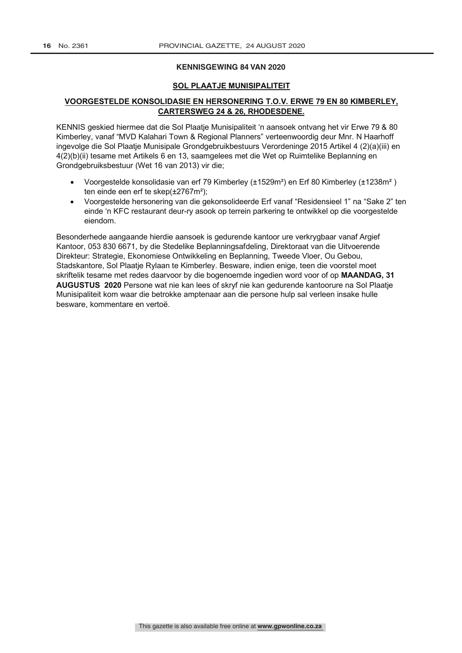#### **KENNISGEWING 84 VAN 2020**

#### **SOL PLAATJE MUNISIPALITEIT**

#### **VOORGESTELDE KONSOLIDASIE EN HERSONERING T.O.V. ERWE 79 EN 80 KIMBERLEY, CARTERSWEG 24 & 26, RHODESDENE.**

KENNIS geskied hiermee dat die Sol Plaatje Munisipaliteit 'n aansoek ontvang het vir Erwe 79 & 80 Kimberley, vanaf "MVD Kalahari Town & Regional Planners" verteenwoordig deur Mnr. N Haarhoff ingevolge die Sol Plaatje Munisipale Grondgebruikbestuurs Verordeninge 2015 Artikel 4 (2)(a)(iii) en 4(2)(b)(ii) tesame met Artikels 6 en 13, saamgelees met die Wet op Ruimtelike Beplanning en Grondgebruiksbestuur (Wet 16 van 2013) vir die;

- Voorgestelde konsolidasie van erf 79 Kimberley (±1529m²) en Erf 80 Kimberley (±1238m² ) ten einde een erf te skep(±2767m²);
- Voorgestelde hersonering van die gekonsolideerde Erf vanaf "Residensieel 1" na "Sake 2" ten einde 'n KFC restaurant deur-ry asook op terrein parkering te ontwikkel op die voorgestelde eiendom.

Besonderhede aangaande hierdie aansoek is gedurende kantoor ure verkrygbaar vanaf Argief Kantoor, 053 830 6671, by die Stedelike Beplanningsafdeling, Direktoraat van die Uitvoerende Direkteur: Strategie, Ekonomiese Ontwikkeling en Beplanning, Tweede Vloer, Ou Gebou, Stadskantore, Sol Plaatje Rylaan te Kimberley. Besware, indien enige, teen die voorstel moet skriftelik tesame met redes daarvoor by die bogenoemde ingedien word voor of op **MAANDAG, 31 AUGUSTUS 2020** Persone wat nie kan lees of skryf nie kan gedurende kantoorure na Sol Plaatje Munisipaliteit kom waar die betrokke amptenaar aan die persone hulp sal verleen insake hulle besware, kommentare en vertoë.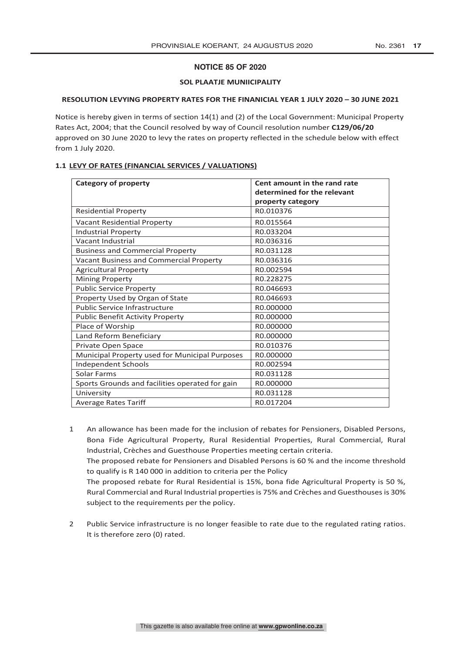#### **NOTICE 85 OF 2020**

#### **SOL PLAATJE MUNIICIPALITY**

#### **RESOLUTION LEVYING PROPERTY RATES FOR THE FINANICIAL YEAR 1 JULY 2020 – 30 JUNE 2021**

Notice is hereby given in terms of section 14(1) and (2) of the Local Government: Municipal Property Rates Act, 2004; that the Council resolved by way of Council resolution number **C129/06/20** approved on 30 June 2020 to levy the rates on property reflected in the schedule below with effect from 1 July 2020.

#### **1.1 LEVY OF RATES (FINANCIAL SERVICES / VALUATIONS)**

| <b>Category of property</b>                     | Cent amount in the rand rate |  |
|-------------------------------------------------|------------------------------|--|
|                                                 | determined for the relevant  |  |
|                                                 | property category            |  |
| <b>Residential Property</b>                     | R0.010376                    |  |
| <b>Vacant Residential Property</b>              | R0.015564                    |  |
| <b>Industrial Property</b>                      | R0.033204                    |  |
| Vacant Industrial                               | R0.036316                    |  |
| <b>Business and Commercial Property</b>         | R0.031128                    |  |
| Vacant Business and Commercial Property         | R0.036316                    |  |
| <b>Agricultural Property</b>                    | R0.002594                    |  |
| <b>Mining Property</b>                          | R0.228275                    |  |
| <b>Public Service Property</b>                  | R0.046693                    |  |
| Property Used by Organ of State                 | R0.046693                    |  |
| <b>Public Service Infrastructure</b>            | R0.000000                    |  |
| <b>Public Benefit Activity Property</b>         | R0.000000                    |  |
| Place of Worship                                | R0.000000                    |  |
| Land Reform Beneficiary                         | R0.000000                    |  |
| Private Open Space                              | R0.010376                    |  |
| Municipal Property used for Municipal Purposes  | R0.000000                    |  |
| <b>Independent Schools</b>                      | R0.002594                    |  |
| Solar Farms                                     | R0.031128                    |  |
| Sports Grounds and facilities operated for gain | R0.000000                    |  |
| University                                      | R0.031128                    |  |
| <b>Average Rates Tariff</b>                     | R0.017204                    |  |

1 An allowance has been made for the inclusion of rebates for Pensioners, Disabled Persons, Bona Fide Agricultural Property, Rural Residential Properties, Rural Commercial, Rural Industrial, Crèches and Guesthouse Properties meeting certain criteria.

The proposed rebate for Pensioners and Disabled Persons is 60 % and the income threshold to qualify is R 140 000 in addition to criteria per the Policy

The proposed rebate for Rural Residential is 15%, bona fide Agricultural Property is 50 %, Rural Commercial and Rural Industrial propertiesis 75% and Crèches and Guesthouses is 30% subject to the requirements per the policy.

2 Public Service infrastructure is no longer feasible to rate due to the regulated rating ratios. It is therefore zero (0) rated.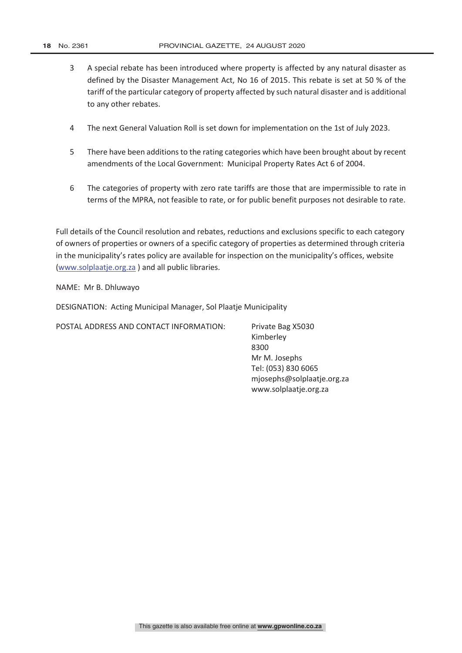- 3 A special rebate has been introduced where property is affected by any natural disaster as defined by the Disaster Management Act, No 16 of 2015. This rebate is set at 50 % of the tariff of the particular category of property affected by such natural disaster and is additional to any other rebates.
- 4 The next General Valuation Roll is set down for implementation on the 1st of July 2023.
- 5 There have been additions to the rating categories which have been brought about by recent amendments of the Local Government: Municipal Property Rates Act 6 of 2004.
- 6 The categories of property with zero rate tariffs are those that are impermissible to rate in terms of the MPRA, not feasible to rate, or for public benefit purposes not desirable to rate.

Full details of the Council resolution and rebates, reductions and exclusions specific to each category of owners of properties or owners of a specific category of properties as determined through criteria in the municipality's rates policy are available for inspection on the municipality's offices, website (www.solplaatje.org.za ) and all public libraries.

NAME: Mr B. Dhluwayo

DESIGNATION: Acting Municipal Manager, Sol Plaatje Municipality

POSTAL ADDRESS AND CONTACT INFORMATION: Private Bag X5030

Kimberley 8300 Mr M. Josephs Tel: (053) 830 6065 mjosephs@solplaatje.org.za www.solplaatje.org.za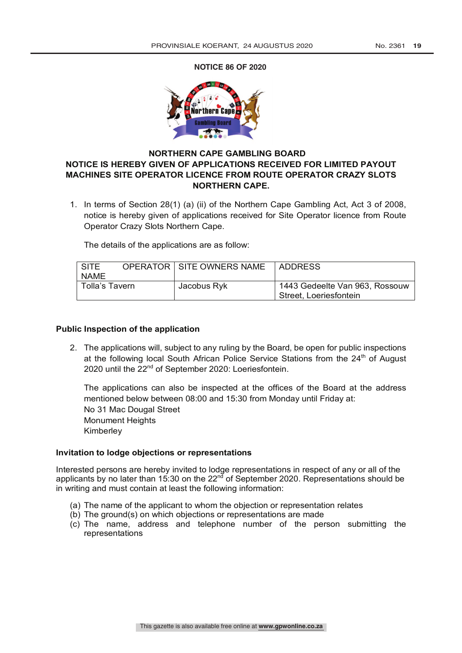**NOTICE 86 OF 2020** 



### **NORTHERN CAPE GAMBLING BOARD NOTICE IS HEREBY GIVEN OF APPLICATIONS RECEIVED FOR LIMITED PAYOUT MACHINES SITE OPERATOR LICENCE FROM ROUTE OPERATOR CRAZY SLOTS NORTHERN CAPE.**

1. In terms of Section 28(1) (a) (ii) of the Northern Cape Gambling Act, Act 3 of 2008, notice is hereby given of applications received for Site Operator licence from Route Operator Crazy Slots Northern Cape.

The details of the applications are as follow:

| <b>SITE</b>    | <b>OPERATOR   SITE OWNERS NAME</b> | ADDRESS                        |
|----------------|------------------------------------|--------------------------------|
| <b>NAME</b>    |                                    |                                |
| Tolla's Tavern | Jacobus Ryk                        | 1443 Gedeelte Van 963, Rossouw |
|                |                                    | Street, Loeriesfontein         |

#### **Public Inspection of the application**

2. The applications will, subject to any ruling by the Board, be open for public inspections at the following local South African Police Service Stations from the 24<sup>th</sup> of August 2020 until the 22<sup>nd</sup> of September 2020: Loeriesfontein.

The applications can also be inspected at the offices of the Board at the address mentioned below between 08:00 and 15:30 from Monday until Friday at: No 31 Mac Dougal Street Monument Heights Kimberley

#### **Invitation to lodge objections or representations**

Interested persons are hereby invited to lodge representations in respect of any or all of the applicants by no later than 15:30 on the 22<sup>nd</sup> of September 2020. Representations should be in writing and must contain at least the following information:

- (a) The name of the applicant to whom the objection or representation relates
- (b) The ground(s) on which objections or representations are made
- (c) The name, address and telephone number of the person submitting the representations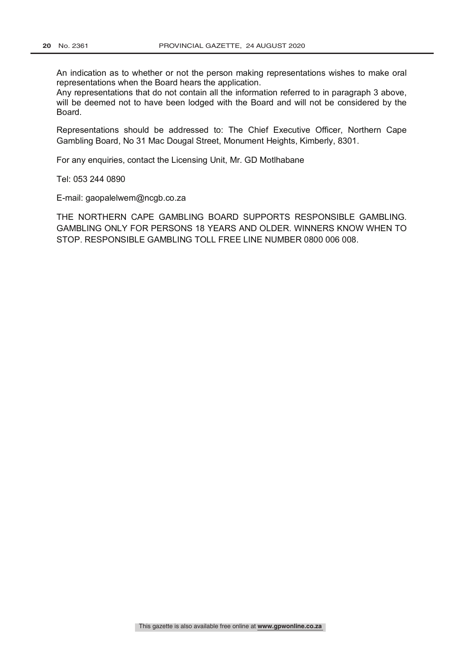An indication as to whether or not the person making representations wishes to make oral representations when the Board hears the application.

Any representations that do not contain all the information referred to in paragraph 3 above, will be deemed not to have been lodged with the Board and will not be considered by the Board.

Representations should be addressed to: The Chief Executive Officer, Northern Cape Gambling Board, No 31 Mac Dougal Street, Monument Heights, Kimberly, 8301.

For any enquiries, contact the Licensing Unit, Mr. GD Motlhabane

Tel: 053 244 0890

E-mail: gaopalelwem@ncgb.co.za

THE NORTHERN CAPE GAMBLING BOARD SUPPORTS RESPONSIBLE GAMBLING. GAMBLING ONLY FOR PERSONS 18 YEARS AND OLDER. WINNERS KNOW WHEN TO STOP. RESPONSIBLE GAMBLING TOLL FREE LINE NUMBER 0800 006 008.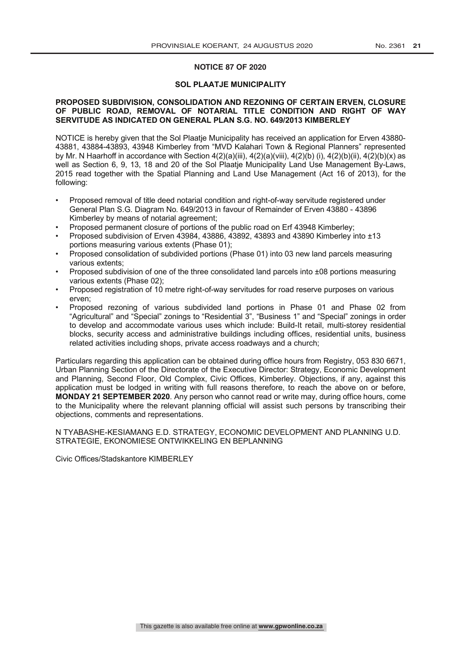#### **NOTICE 87 OF 2020**

#### **SOL PLAATJE MUNICIPALITY**

#### OF PUBLIC ROAD, REMOVAL OF NOTARIAL TITLE CONDITION AND RIGHT OF WAY<br>CHRISTING ACTUALIZED ON CRUPPALL **REMOVAL CHRISTIAN ENGLIS SOL PLAATJE MUNICIPALITY OF PUBLIC ROAD, REMOVAL OF NOTARIAL TITLE CONDITION AND RIGHT OF WAY SERVITUDE AS INDICATED ON GENERAL PLAN S.G. NO. 649/2013 KIMBERLEY PROPOSED SUBDIVISION, CONSOLIDATION AND REZONING OF CERTAIN ERVEN, CLOSURE**

**ol Plaatje Municipality has receiv** by Mr. N Haarhoff in accordance with Section 4(2)(a)(iii), 4(2)(a)(viii), 4(2)(b) (i), 4(2)(b)(ii), 4(2)(b)(x) as by Mr. N Haarhoff in accordance with Section 4(2)(a)(iii), 4(2)(a)(viii), 4(2)(b) (i), 4(2)(b)(ii), 4(2)(b)(x) as<br>well as Section 6, 9, 13, 18 and 20 of the Sol Plaatje Municipality Land Use Management By-Laws, 2015 read together with the Spatial Planning and Land Use Management (Act 16 of 2013), for the NOTICE is hereby given that the Sol Plaatje Municipality has received an application for Erven 43880-43881, 43884-43893, 43948 Kimberley from "MVD Kalahari Town & Regional Planners" represented  $\bm{\mathsf{tol}}$ owing: with Section 4(2)(a)(iii), 4(2)(b)(c)(b)(c)(b)(c)(b)(c)(b)(c)(b)(b)(b)(c)(b)(b)(c)(b)(c)(b)(c)(b)(x)(b)(b)(x)(b)(b)(b)(b)(c)(b)(c)(b)(c)(b)(c)(b)(c)(b)(c)(b)(c)(b)(c)(b)(c)(b)(c)(b)(c)(b)(c)(b)(c)(b)(c)(b **SERVITUDE AS INDICATED ON GENERAL PLAN S.G. NO. 649/2013 KIMBERLEY**  $2016$  read to gether with the Spatial Planning and Land Use  $M$  and  $\Delta$   $\sim$  16 of 2013),  $\delta$  2013,  $\delta$  2013,  $\delta$  2013,  $\delta$  2013,  $\delta$  2013,  $\delta$  2013,  $\delta$  2013,  $\delta$  2013,  $\delta$  2013,  $\delta$  2013,  $\delta$  2013,  $\delta$  201 NOTICE is hereby given that the Sol Plaatje Municipality has received an application for Erven 43880 following:

- Proposed removal of title deed notarial condition and right-of-way servitude registered under General Plan S.G. Diagram No. 649/2013 in favour of Remainder of Erven 43880 - 43896 Kimberley by means of notarial agreement; Nanagement By-Land Use Management By-Land Use Management By-Land Use Ma • Proposed removal of title deed notarial condition and right-of-way servitude registered under following:  $\mathsf{F}$  mberiev by means of notarial agreement;  $\mathsf{F}$  and  $\mathsf{F}$  and  $\mathsf{F}$  are  $\mathsf{F}$  and  $\mathsf{F}$  and  $\mathsf{F}$  are  $\mathsf{F}$  and  $\mathsf{F}$  and  $\mathsf{F}$  are  $\mathsf{F}$  and  $\mathsf{F}$  and  $\mathsf{F}$  are  $\mathsf{F}$  and  $\math$ • Proposed removal of title deed notarial condition and right-of-way servitude registered under
- Proposed permanent closure of portions of the public road on Erf 43948 Kimberley; • Proposed permanent closure of portions of the public road on Erf 43948 Kimberley;
- Proposed subdivision of Erven 43984, 43886, 43892, 43893 and 43890 Kimberley into  $\pm 13$ portions measuring various extents (Phase 01);  $\frac{1}{2}$  portions measuring various extents (Phase 01);
- Proposed consolidation of subdivided portions (Phase 01) into 03 new land parcels measurin various extents; extents; and Remainder of Remainder of Remainder of Erven 438880 - 438880 - 43896 - 43896 - 43896 - 43896 - 43896 - 43896 - 43896 - 43896 - 43896 - 43896 - 43896 - 43896 - 43896 - 43896 - 43896 - 43896 - 4 various extents; extents and 43886, 43886, 43886, 43886, 43886, 43892, 43893 and 43893 and 43890 Kimberley into  $\mu$ • Proposed consolidation of subdivided portions (Phase 01) into 03 new land parcels measuring • Proposed consolidation of subdivided portions (Phase 01) into 03 new land parcels measuring
- Proposed subdivision of one of the three co various extents (Phase 02);<br> Proposed subdivision of one of the three conso • Proposed subdivision of one of the three consolidated land parcels into ±08 portions measuring various extents (Phase 02);<br>
extending the three consolidations measuring parameters in the three consolidations measurements measuring me
- Proposed registration of 10 metre right-of-way servitudes for road reserve purposes on varie portions measuring various extents (Phase 01); erven;  $\bullet$  Proposed subdivision of the three consolidated land paracels into  $\bullet$ • Proposed registration of 10 metre right-of-way servitudes for road reserve purposes on various • Proposed registration of 10 metre right-of-way servitudes for road reserve purposes on various
- Proposed rezoning of various subdivided land portions in Phase 01 and Phase 02 fi "Agricultural" and "Special" zonings to "Residential 3", "Business 1" and "Special" zonings in order to develop and accommodate various uses which include: Build-It retail, multi-storey residential blocks, security access and administrative buildings including offices, residential units, business related activities including shops, private access roadways and a church; • Proposed rezoning of various subdivided land portions in Phase 01 and Phase 02 from

Particulars regarding this application can be obtained during office hours from Registry, 053 830 6671, Urban Planning Section of the Directorate of the Executive Director: Strategy, Economic Development and Planning, Second Floor, Old Complex, Civic Offices, Kimberley. Objections, if any, against this Urban Planning Section of the Directorate of the Executive Director: Strategy, Economic Development<br>and Planning, Second Floor, Old Complex, Civic Offices, Kimberley. Objections, if any, against this<br>application must be lo MONDAY 21 SEPTEMBER 2020. Any person who cannot read or write may, during office hours, come objections, comments and representations. to develop and accommodate various uses which includes: Build-It retail, multi-storey residential, multi-store iculars regarding this application can be obtained during office hours from Registry, 053 830 6671, to the Municipality where the relevant planning official will assist such persons by transcribing their related activities including shops, private access roadways and a church; Particulars regarding this application can be obtained during office hours from Registry, 053 830 6671,

N TYABASHE-KESIAMANG E.D. STRATEGY, ECONOMIC DEVELOPMENT AND PLANNING U.D. STRATEGIE, EKONOMIESE ONTWIKKELING EN BEPLANNING  $N$  TYABASHE-KESIAMANG E.D. STRATEGY, ECONOMIC DEVELOPMENT AND PLANNING U.D.  $\overline{\phantom{a}}$ N TYABASHE-KESIAMANG E.D. STRATEGY, ECONOMIC DEVELOPMENT AND PLANNING U.D.

Civic Offices/Stadskantore KIMBERLEY **E.D. STRATEGY** STRATEGIE, EKONOMIESE ONTWIKKELING EN BEPLANNING Civic Offices/Stadskantore KIMBERLEY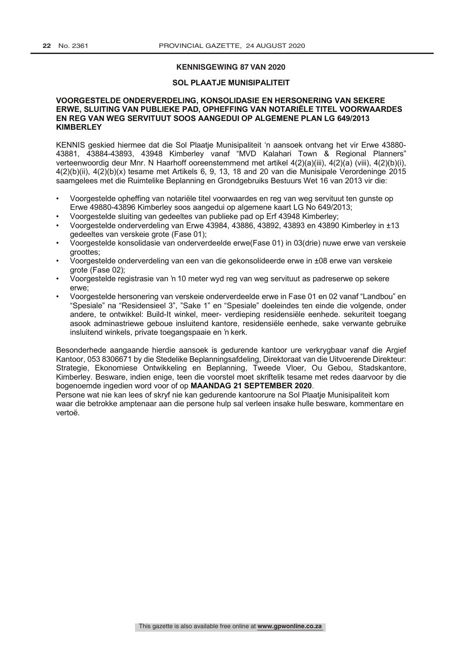#### **KENNISGEWING 87 VAN 2020**

#### **SOL PLAATJE MUNISIPALITEIT**

#### **VOORGESTELDE ONDERVERDELING, KONSOLIDASIE EN HERSONERING VAN SEKERE ERWE, SLUITING VAN PUBLIEKE PAD, OPHEFFING VAN NOTARIËLE TITEL VOORWAARDES EN REG VAN WEG SERVITUUT SOOS AANGEDUI OP ALGEMENE PLAN LG 649/2013 KIMBERLEY**

KENNIS geskied hiermee dat die Sol Plaatje Munisipaliteit 'n aansoek ontvang het vir Erwe 43880- 43881, 43884-43893, 43948 Kimberley vanaf "MVD Kalahari Town & Regional Planners" verteenwoordig deur Mnr. N Haarhoff ooreenstemmend met artikel 4(2)(a)(iii), 4(2)(a) (viii), 4(2)(b)(i), 4(2)(b)(ii), 4(2)(b)(x) tesame met Artikels 6, 9, 13, 18 and 20 van die Munisipale Verordeninge 2015 saamgelees met die Ruimtelike Beplanning en Grondgebruiks Bestuurs Wet 16 van 2013 vir die:

- Voorgestelde opheffing van notariële titel voorwaardes en reg van weg servituut ten gunste op Erwe 49880-43896 Kimberley soos aangedui op algemene kaart LG No 649/2013;
- Voorgestelde sluiting van gedeeltes van publieke pad op Erf 43948 Kimberley;
- Voorgestelde onderverdeling van Erwe 43984, 43886, 43892, 43893 en 43890 Kimberley in ±13 gedeeltes van verskeie grote (Fase 01);
- Voorgestelde konsolidasie van onderverdeelde erwe(Fase 01) in 03(drie) nuwe erwe van verskeie groottes;
- Voorgestelde onderverdeling van een van die gekonsolideerde erwe in ±08 erwe van verskeie grote (Fase 02);
- Voorgestelde registrasie van 'n 10 meter wyd reg van weg servituut as padreserwe op sekere erwe;
- Voorgestelde hersonering van verskeie onderverdeelde erwe in Fase 01 en 02 vanaf "Landbou" en "Spesiale" na "Residensieel 3", "Sake 1" en "Spesiale" doeleindes ten einde die volgende, onder andere, te ontwikkel: Build-It winkel, meer- verdieping residensiële eenhede. sekuriteit toegang asook adminastriewe geboue insluitend kantore, residensiële eenhede, sake verwante gebruike insluitend winkels, private toegangspaaie en 'n kerk.

Besonderhede aangaande hierdie aansoek is gedurende kantoor ure verkrygbaar vanaf die Argief Kantoor, 053 8306671 by die Stedelike Beplanningsafdeling, Direktoraat van die Uitvoerende Direkteur: Strategie, Ekonomiese Ontwikkeling en Beplanning, Tweede Vloer, Ou Gebou, Stadskantore, Kimberley. Besware, indien enige, teen die voorstel moet skriftelik tesame met redes daarvoor by die bogenoemde ingedien word voor of op **MAANDAG 21 SEPTEMBER 2020**.

Persone wat nie kan lees of skryf nie kan gedurende kantoorure na Sol Plaatje Munisipaliteit kom waar die betrokke amptenaar aan die persone hulp sal verleen insake hulle besware, kommentare en vertoë.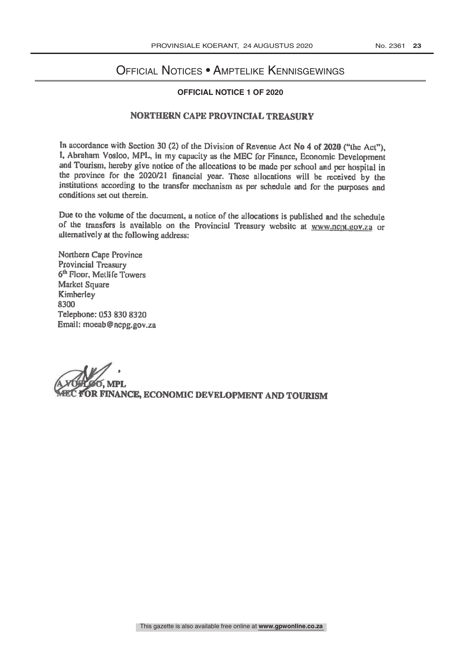## Official Notices • Amptelike Kennisgewings

## **OFFICIAL NOTICE 1 OF 2020**

#### NORTHERN CAPE PROVINCIAL TREASURY

In accordance with Section 30 (2) of the Division of Revenue Act No 4 of 2020 ("the Act"), I, Abraham Vosloo, MPL, in my capacity as the MEC for Finance, Economic Development and Tourism, hereby give notice of the allocations to be made per school and per hospital in the province for the 2020/21 financial year. These allocations will be received by the institutions according to the transfer mechanism as per schedule and for the purposes and conditions set out therein.

Due to the volume of the document, u notice of the allocations is published and the schedule of the transfers is available on the Provincial Treasury website at www.ncpt.gov.za or alternatively at the following address:

Northern Cape Province Provincial Treasury 6th Floor, Metlife Towers **Market Square** Kimberley 8300 Telephone: 053 830 8320 Email: moeab@nepg.gov.za

, MPL

OR FINANCE, ECONOMIC DEVELOPMENT AND TOURISM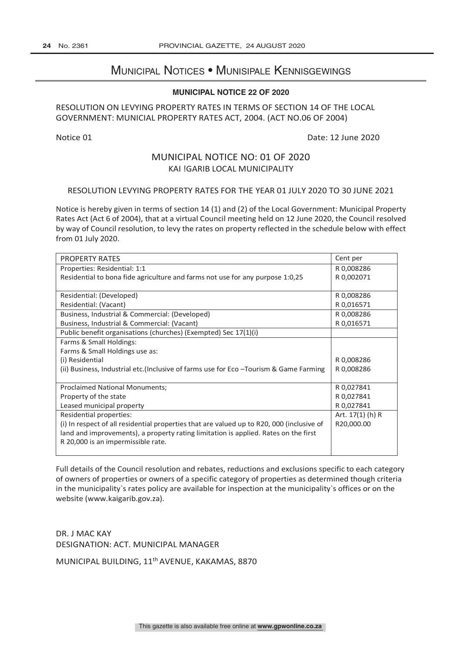## Municipal Notices • Munisipale Kennisgewings

#### **MUNICIPAL NOTICE 22 OF 2020**

#### RESOLUTION ON LEVYING PROPERTY RATES IN TERMS OF SECTION 14 OF THE LOCAL GOVERNMENT: MUNICIAL PROPERTY RATES ACT, 2004. (ACT NO.06 OF 2004)

Notice 01 Date: 12 June 2020

## MUNICIPAL NOTICE NO: 01 OF 2020 KAI !GARIB LOCAL MUNICIPALITY

#### RESOLUTION LEVYING PROPERTY RATES FOR THE YEAR 01 JULY 2020 TO 30 JUNE 2021

Notice is hereby given in terms of section 14 (1) and (2) of the Local Government: Municipal Property Rates Act (Act 6 of 2004), that at a virtual Council meeting held on 12 June 2020, the Council resolved by way of Council resolution, to levy the rates on property reflected in the schedule below with effect from 01 July 2020.

| <b>PROPERTY RATES</b>                                                                     | Cent per           |
|-------------------------------------------------------------------------------------------|--------------------|
| Properties: Residential: 1:1                                                              | R 0,008286         |
| Residential to bona fide agriculture and farms not use for any purpose 1:0,25             | R 0,002071         |
|                                                                                           |                    |
| Residential: (Developed)                                                                  | R 0,008286         |
| Residential: (Vacant)                                                                     | R 0,016571         |
| Business, Industrial & Commercial: (Developed)                                            | R 0,008286         |
| Business, Industrial & Commercial: (Vacant)                                               | R 0,016571         |
| Public benefit organisations (churches) (Exempted) Sec 17(1)(i)                           |                    |
| Farms & Small Holdings:                                                                   |                    |
| Farms & Small Holdings use as:                                                            |                    |
| (i) Residential                                                                           | R 0,008286         |
| (ii) Business, Industrial etc. (Inclusive of farms use for Eco - Tourism & Game Farming   | R 0,008286         |
|                                                                                           |                    |
| <b>Proclaimed National Monuments:</b>                                                     | R 0,027841         |
| Property of the state                                                                     | R 0,027841         |
| Leased municipal property                                                                 | R 0,027841         |
| Residential properties:                                                                   | Art. $17(1)$ (h) R |
| (i) In respect of all residential properties that are valued up to R20, 000 (inclusive of | R20,000.00         |
| land and improvements), a property rating limitation is applied. Rates on the first       |                    |
| R 20,000 is an impermissible rate.                                                        |                    |
|                                                                                           |                    |

Full details of the Council resolution and rebates, reductions and exclusions specific to each category of owners of properties or owners of a specific category of properties as determined though criteria in the municipality`s rates policy are available for inspection at the municipality`s offices or on the website (www.kaigarib.gov.za).

DR. J MAC KAY DESIGNATION: ACT. MUNICIPAL MANAGER

MUNICIPAL BUILDING, 11th AVENUE, KAKAMAS, 8870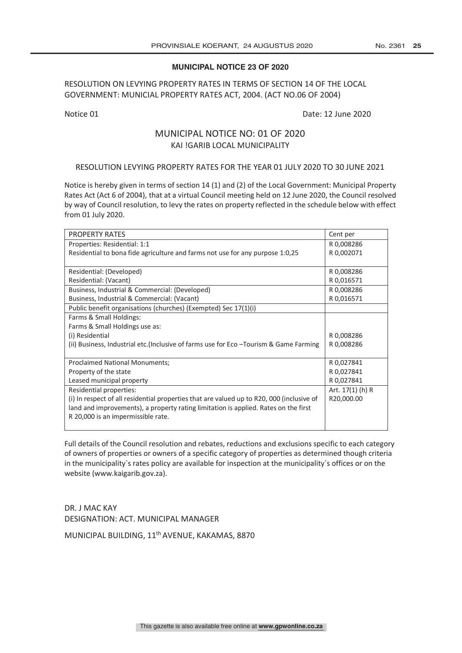#### **MUNICIPAL NOTICE 23 OF 2020**

### RESOLUTION ON LEVYING PROPERTY RATES IN TERMS OF SECTION 14 OF THE LOCAL GOVERNMENT: MUNICIAL PROPERTY RATES ACT, 2004. (ACT NO.06 OF 2004)

#### Notice 01 Date: 12 June 2020

### MUNICIPAL NOTICE NO: 01 OF 2020 KAI !GARIB LOCAL MUNICIPALITY

#### RESOLUTION LEVYING PROPERTY RATES FOR THE YEAR 01 JULY 2020 TO 30 JUNE 2021

Notice is hereby given in terms of section 14 (1) and (2) of the Local Government: Municipal Property Rates Act (Act 6 of 2004), that at a virtual Council meeting held on 12 June 2020, the Council resolved by way of Council resolution, to levy the rates on property reflected in the schedule below with effect from 01 July 2020.

| <b>PROPERTY RATES</b>                                                                     | Cent per         |
|-------------------------------------------------------------------------------------------|------------------|
| Properties: Residential: 1:1                                                              | R 0,008286       |
| Residential to bona fide agriculture and farms not use for any purpose 1:0,25             | R 0,002071       |
|                                                                                           |                  |
| Residential: (Developed)                                                                  | R0,008286        |
| Residential: (Vacant)                                                                     | R 0,016571       |
| Business, Industrial & Commercial: (Developed)                                            | R 0,008286       |
| Business, Industrial & Commercial: (Vacant)                                               | R 0,016571       |
| Public benefit organisations (churches) (Exempted) Sec 17(1)(i)                           |                  |
| Farms & Small Holdings:                                                                   |                  |
| Farms & Small Holdings use as:                                                            |                  |
| (i) Residential                                                                           | R0,008286        |
| (ii) Business, Industrial etc. (Inclusive of farms use for Eco - Tourism & Game Farming   | R 0,008286       |
|                                                                                           |                  |
| <b>Proclaimed National Monuments;</b>                                                     | R 0,027841       |
| Property of the state                                                                     | R 0,027841       |
| Leased municipal property                                                                 | R 0,027841       |
| Residential properties:                                                                   | Art. 17(1) (h) R |
| (i) In respect of all residential properties that are valued up to R20, 000 (inclusive of | R20,000.00       |
| land and improvements), a property rating limitation is applied. Rates on the first       |                  |
| R 20,000 is an impermissible rate.                                                        |                  |
|                                                                                           |                  |

Full details of the Council resolution and rebates, reductions and exclusions specific to each category of owners of properties or owners of a specific category of properties as determined though criteria in the municipality`s rates policy are available for inspection at the municipality`s offices or on the website (www.kaigarib.gov.za).

DR. J MAC KAY DESIGNATION: ACT. MUNICIPAL MANAGER

MUNICIPAL BUILDING, 11th AVENUE, KAKAMAS, 8870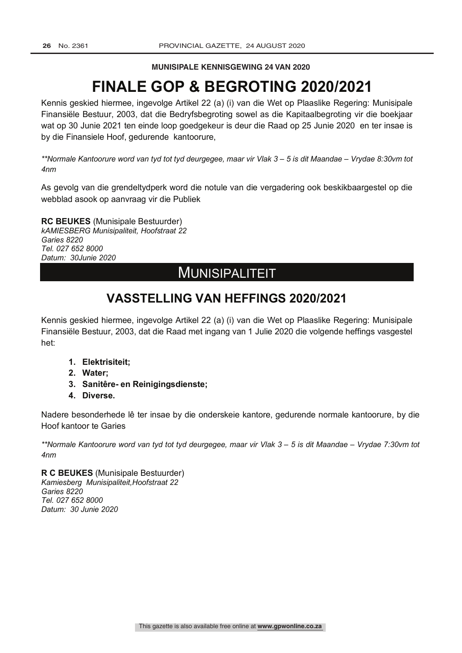**MUNISIPALE KENNISGEWING 24 VAN 2020** 

# **FINALE GOP & BEGROTING 2020/2021**

Kennis geskied hiermee, ingevolge Artikel 22 (a) (i) van die Wet op Plaaslike Regering: Munisipale Finansiële Bestuur, 2003, dat die Bedryfsbegroting sowel as die Kapitaalbegroting vir die boekjaar wat op 30 Junie 2021 ten einde loop goedgekeur is deur die Raad op 25 Junie 2020 en ter insae is by die Finansiele Hoof, gedurende kantoorure,

*\*\*Normale Kantoorure word van tyd tot tyd deurgegee, maar vir Vlak 3 – 5 is dit Maandae – Vrydae 8:30vm tot 4nm*

As gevolg van die grendeltydperk word die notule van die vergadering ook beskikbaargestel op die webblad asook op aanvraag vir die Publiek

**RC BEUKES** (Munisipale Bestuurder) *kAMIESBERG Munisipaliteit, Hoofstraat 22 Garies 8220 Tel. 027 652 8000 Datum: 30Junie 2020*

## MUNISIPALITEIT

## **VASSTELLING VAN HEFFINGS 2020/2021**

Kennis geskied hiermee, ingevolge Artikel 22 (a) (i) van die Wet op Plaaslike Regering: Munisipale Finansiële Bestuur, 2003, dat die Raad met ingang van 1 Julie 2020 die volgende heffings vasgestel het:

- **1. Elektrisiteit;**
- **2. Water;**
- **3. Sanitêre- en Reinigingsdienste;**
- **4. Diverse.**

Nadere besonderhede lê ter insae by die onderskeie kantore, gedurende normale kantoorure, by die Hoof kantoor te Garies

*\*\*Normale Kantoorure word van tyd tot tyd deurgegee, maar vir Vlak 3 – 5 is dit Maandae – Vrydae 7:30vm tot 4nm*

**R C BEUKES** (Munisipale Bestuurder) *Kamiesberg Munisipaliteit,Hoofstraat 22 Garies 8220 Tel. 027 652 8000 Datum: 30 Junie 2020*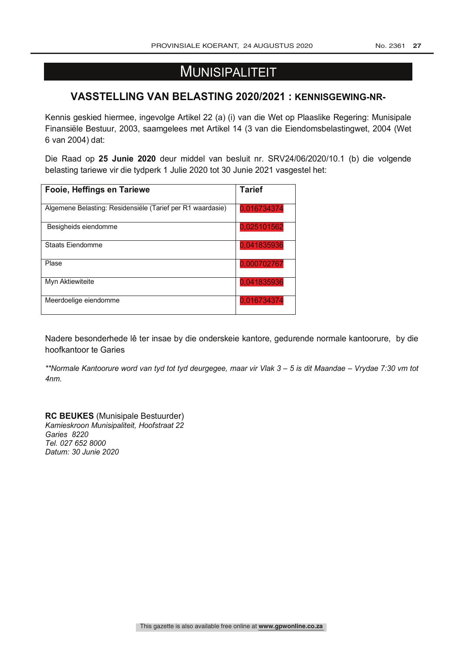## **MUNISIPALITEIT**

## **VASSTELLING VAN BELASTING 2020/2021 : KENNISGEWING-NR-**

Kennis geskied hiermee, ingevolge Artikel 22 (a) (i) van die Wet op Plaaslike Regering: Munisipale Finansiële Bestuur, 2003, saamgelees met Artikel 14 (3 van die Eiendomsbelastingwet, 2004 (Wet 6 van 2004) dat:

Die Raad op **25 Junie 2020** deur middel van besluit nr. SRV24/06/2020/10.1 (b) die volgende belasting tariewe vir die tydperk 1 Julie 2020 tot 30 Junie 2021 vasgestel het:

| Fooie, Heffings en Tariewe                                 | <b>Tarief</b> |
|------------------------------------------------------------|---------------|
| Algemene Belasting: Residensiële (Tarief per R1 waardasie) | 0,016734374   |
| Besigheids eiendomme                                       | 0,025101562   |
| <b>Staats Eiendomme</b>                                    | 0,041835936   |
| Plase                                                      | 0,000702767   |
| Myn Aktiewiteite                                           | 0,041835936   |
| Meerdoelige eiendomme                                      | 0,016734374   |

Nadere besonderhede lê ter insae by die onderskeie kantore, gedurende normale kantoorure, by die hoofkantoor te Garies

*\*\*Normale Kantoorure word van tyd tot tyd deurgegee, maar vir Vlak 3 – 5 is dit Maandae – Vrydae 7:30 vm tot 4nm.*

**RC BEUKES** (Munisipale Bestuurder) *Kamieskroon Munisipaliteit, Hoofstraat 22 Garies 8220 Tel. 027 652 8000 Datum: 30 Junie 2020*